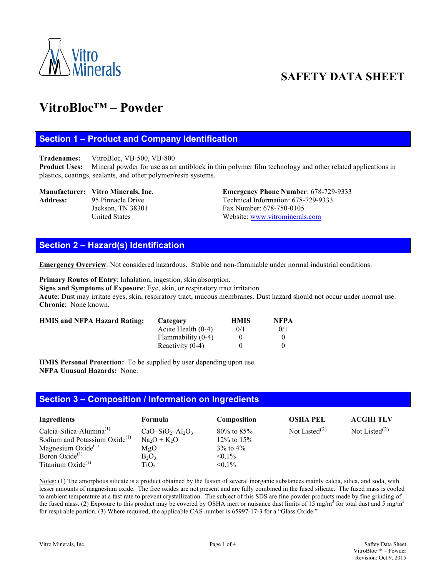

## **SAFETY DATA SHEET**

### **VitroBloc™ – Powder**

#### **Section 1 – Product and Company Identification**

**Tradenames:** VitroBloc, VB-500, VB-800

**Product Uses:** Mineral powder for use as an antiblock in thin polymer film technology and other related applications in plastics, coatings, sealants, and other polymer/resin systems.

# Address: 95 Pinnacle Drive Technical Information: 678-729-9333

**Manufacturer: Vitro Minerals, Inc. Emergency Phone Number**: 678-729-9333 Jackson, TN 38301 Fax Number: 678-750-0105 United States Website: www.vitrominerals.com

#### **Section 2 – Hazard(s) Identification**

**Emergency Overview**: Not considered hazardous. Stable and non-flammable under normal industrial conditions.

**Primary Routes of Entry**: Inhalation, ingestion, skin absorption.

**Signs and Symptoms of Exposure**: Eye, skin, or respiratory tract irritation.

**Acute**: Dust may irritate eyes, skin, respiratory tract, mucous membranes. Dust hazard should not occur under normal use. **Chronic**: None known.

| <b>HMIS and NFPA Hazard Rating:</b> | Category             | <b>HMIS</b> | <b>NFPA</b> |
|-------------------------------------|----------------------|-------------|-------------|
|                                     | Acute Health $(0-4)$ | 0/1         | 0/1         |
|                                     | Flammability (0-4)   |             |             |
|                                     | Reactivity $(0-4)$   |             |             |

**HMIS Personal Protection:** To be supplied by user depending upon use. **NFPA Unusual Hazards:** None.

#### **Section 3 – Composition / Information on Ingredients**

| Ingredients                               | Formula          | Composition      | <b>OSHA PEL</b>  | <b>ACGIH TLV</b> |
|-------------------------------------------|------------------|------------------|------------------|------------------|
| Calcia-Silica-Alumina $^{(1)}$            | $CaO-SiO2-Al2O3$ | $80\%$ to $85\%$ | Not Listed $(2)$ | Not Listed $(2)$ |
| Sodium and Potassium Oxide <sup>(1)</sup> | $Na2O + K2O$     | 12\% to 15\%     |                  |                  |
| Magnesium Oxide $(1)$                     | MgO              | $3\%$ to $4\%$   |                  |                  |
| Boron Oxide $^{(1)}$                      | $B_2O_3$         | $< 0.1\%$        |                  |                  |
| Titanium $Oxide^{(1)}$                    | TiO <sub>2</sub> | $< 0.1\%$        |                  |                  |

Notes: (1) The amorphous silicate is a product obtained by the fusion of several inorganic substances mainly calcia, silica, and soda, with lesser amounts of magnesium oxide. The free oxides are not present and are fully combined in the fused silicate. The fused mass is cooled to ambient temperature at a fast rate to prevent crystallization. The subject of this SDS are fine powder products made by fine grinding of the fused mass. (2) Exposure to this product may be covered by OSHA inert or nuisance dust limits of 15 mg/m<sup>3</sup> for total dust and 5 mg/m<sup>3</sup> for respirable portion. (3) Where required, the applicable CAS number is 65997-17-3 for a "Glass Oxide."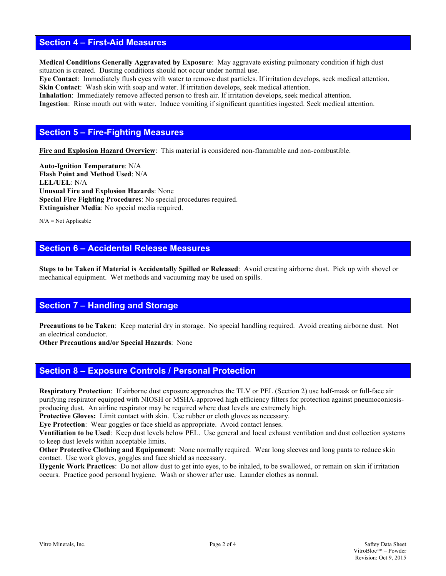#### **Section 4 – First-Aid Measures**

**Medical Conditions Generally Aggravated by Exposure**: May aggravate existing pulmonary condition if high dust situation is created. Dusting conditions should not occur under normal use.

**Eye Contact**: Immediately flush eyes with water to remove dust particles. If irritation develops, seek medical attention. **Skin Contact**: Wash skin with soap and water. If irritation develops, seek medical attention.

**Inhalation**: Immediately remove affected person to fresh air. If irritation develops, seek medical attention.

**Ingestion**: Rinse mouth out with water. Induce vomiting if significant quantities ingested. Seek medical attention.

#### **Section 5 – Fire-Fighting Measures**

**Fire and Explosion Hazard Overview**: This material is considered non-flammable and non-combustible.

**Auto-Ignition Temperature**: N/A **Flash Point and Method Used**: N/A **LEL/UEL**: N/A **Unusual Fire and Explosion Hazards**: None **Special Fire Fighting Procedures**: No special procedures required. **Extinguisher Media**: No special media required.

 $N/A = Not$  Applicable

#### **Section 6 – Accidental Release Measures**

**Steps to be Taken if Material is Accidentally Spilled or Released**: Avoid creating airborne dust. Pick up with shovel or mechanical equipment. Wet methods and vacuuming may be used on spills.

#### **Section 7 – Handling and Storage**

**Precautions to be Taken**: Keep material dry in storage. No special handling required. Avoid creating airborne dust. Not an electrical conductor.

**Other Precautions and/or Special Hazards**: None

#### **Section 8 – Exposure Controls / Personal Protection**

**Respiratory Protection**: If airborne dust exposure approaches the TLV or PEL (Section 2) use half-mask or full-face air purifying respirator equipped with NIOSH or MSHA-approved high efficiency filters for protection against pneumoconiosisproducing dust. An airline respirator may be required where dust levels are extremely high.

Protective Gloves: Limit contact with skin. Use rubber or cloth gloves as necessary.

**Eye Protection**: Wear goggles or face shield as appropriate. Avoid contact lenses.

**Ventiliation to be Used**: Keep dust levels below PEL. Use general and local exhaust ventilation and dust collection systems to keep dust levels within acceptable limits.

**Other Protective Clothing and Equipement**: None normally required. Wear long sleeves and long pants to reduce skin contact. Use work gloves, goggles and face shield as necessary.

**Hygenic Work Practices**: Do not allow dust to get into eyes, to be inhaled, to be swallowed, or remain on skin if irritation occurs. Practice good personal hygiene. Wash or shower after use. Launder clothes as normal.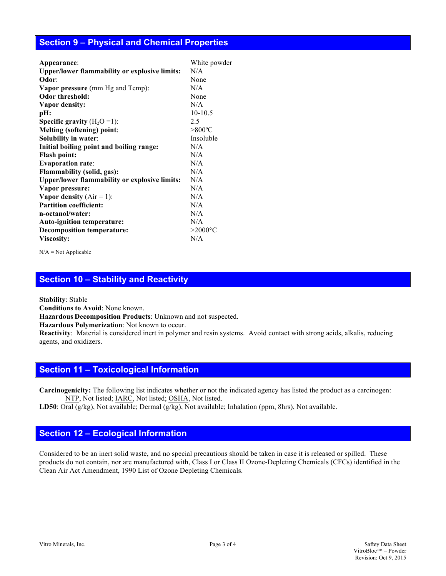#### **Section 9 – Physical and Chemical Properties**

| Appearance:                                          | White powder     |
|------------------------------------------------------|------------------|
| <b>Upper/lower flammability or explosive limits:</b> | N/A              |
| Odor:                                                | None             |
| <b>Vapor pressure</b> (mm Hg and Temp):              | N/A              |
| Odor threshold:                                      | None             |
| Vapor density:                                       | N/A              |
| pH:                                                  | $10-10.5$        |
| <b>Specific gravity</b> $(H_2O=1)$ :                 | 2.5              |
| <b>Melting (softening) point:</b>                    | $>800^{\circ}$ C |
| Solubility in water:                                 | Insoluble        |
| Initial boiling point and boiling range:             | N/A              |
| <b>Flash point:</b>                                  | N/A              |
| <b>Evaporation rate:</b>                             | N/A              |
| Flammability (solid, gas):                           | N/A              |
| <b>Upper/lower flammability or explosive limits:</b> | N/A              |
| Vapor pressure:                                      | N/A              |
| Vapor density $(Air = 1)$ :                          | N/A              |
| <b>Partition coefficient:</b>                        | N/A              |
| n-octanol/water:                                     | N/A              |
| Auto-ignition temperature:                           | N/A              |
| <b>Decomposition temperature:</b>                    | $>2000$ °C       |
| Viscosity:                                           | N/A              |
|                                                      |                  |

N/A = Not Applicable

#### **Section 10 – Stability and Reactivity**

**Stability**: Stable

**Conditions to Avoid**: None known.

**Hazardous Decomposition Products**: Unknown and not suspected.

**Hazardous Polymerization**: Not known to occur.

**Reactivity**:Material is considered inert in polymer and resin systems. Avoid contact with strong acids, alkalis, reducing agents, and oxidizers.

#### **Section 11 – Toxicological Information**

**Carcinogenicity:** The following list indicates whether or not the indicated agency has listed the product as a carcinogen: NTP, Not listed; IARC, Not listed; OSHA, Not listed.

**LD50**: Oral (g/kg), Not available; Dermal (g/kg), Not available; Inhalation (ppm, 8hrs), Not available.

#### **Section 12 – Ecological Information**

Considered to be an inert solid waste, and no special precautions should be taken in case it is released or spilled. These products do not contain, nor are manufactured with, Class I or Class II Ozone-Depleting Chemicals (CFCs) identified in the Clean Air Act Amendment, 1990 List of Ozone Depleting Chemicals.